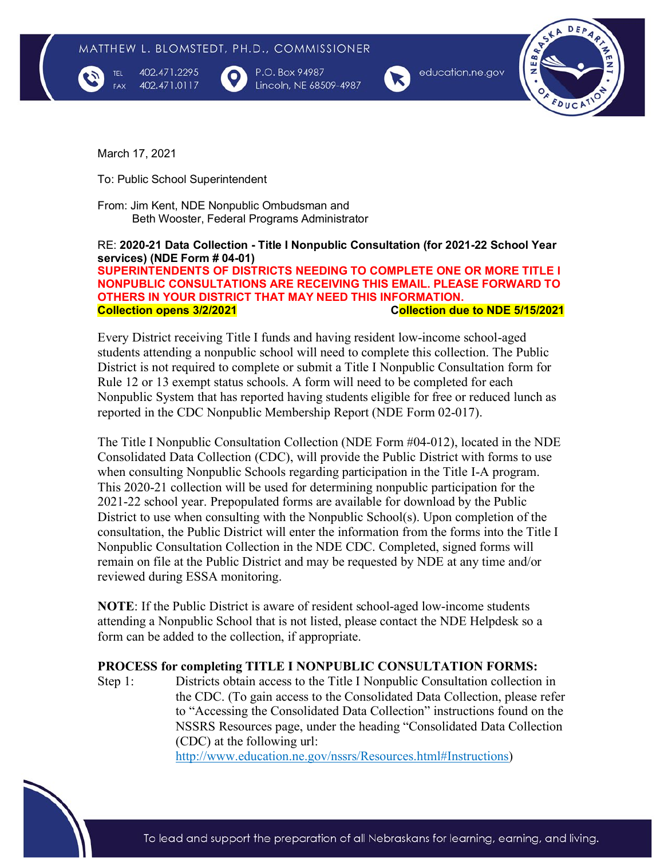

TEL

402.471.2295 402.471.0117 P.O. Box 94987 Lincoln, NE 68509-4987



education.ne.gov



March 17, 2021

To: Public School Superintendent

From: Jim Kent, NDE Nonpublic Ombudsman and Beth Wooster, Federal Programs Administrator

#### RE: **2020-21 Data Collection - Title I Nonpublic Consultation (for 2021-22 School Year services) (NDE Form # 04-01)**

**SUPERINTENDENTS OF DISTRICTS NEEDING TO COMPLETE ONE OR MORE TITLE I NONPUBLIC CONSULTATIONS ARE RECEIVING THIS EMAIL. PLEASE FORWARD TO OTHERS IN YOUR DISTRICT THAT MAY NEED THIS INFORMATION. Collection opens 3/2/2021 Collection due to NDE 5/15/2021**

Every District receiving Title I funds and having resident low-income school-aged students attending a nonpublic school will need to complete this collection. The Public District is not required to complete or submit a Title I Nonpublic Consultation form for Rule 12 or 13 exempt status schools. A form will need to be completed for each Nonpublic System that has reported having students eligible for free or reduced lunch as reported in the CDC Nonpublic Membership Report (NDE Form 02-017).

The Title I Nonpublic Consultation Collection (NDE Form #04-012), located in the NDE Consolidated Data Collection (CDC), will provide the Public District with forms to use when consulting Nonpublic Schools regarding participation in the Title I-A program. This 2020-21 collection will be used for determining nonpublic participation for the 2021-22 school year. Prepopulated forms are available for download by the Public District to use when consulting with the Nonpublic School(s). Upon completion of the consultation, the Public District will enter the information from the forms into the Title I Nonpublic Consultation Collection in the NDE CDC. Completed, signed forms will remain on file at the Public District and may be requested by NDE at any time and/or reviewed during ESSA monitoring.

**NOTE**: If the Public District is aware of resident school-aged low-income students attending a Nonpublic School that is not listed, please contact the NDE Helpdesk so a form can be added to the collection, if appropriate.

#### **PROCESS for completing TITLE I NONPUBLIC CONSULTATION FORMS:**

Step 1: Districts obtain access to the Title I Nonpublic Consultation collection in the CDC. (To gain access to the Consolidated Data Collection, please refer to "Accessing the Consolidated Data Collection" instructions found on the NSSRS Resources page, under the heading "Consolidated Data Collection (CDC) at the following url:

[http://www.education.ne.gov/nssrs/Resources.html#Instructions\)](http://www.education.ne.gov/nssrs/Resources.html#Instructions))

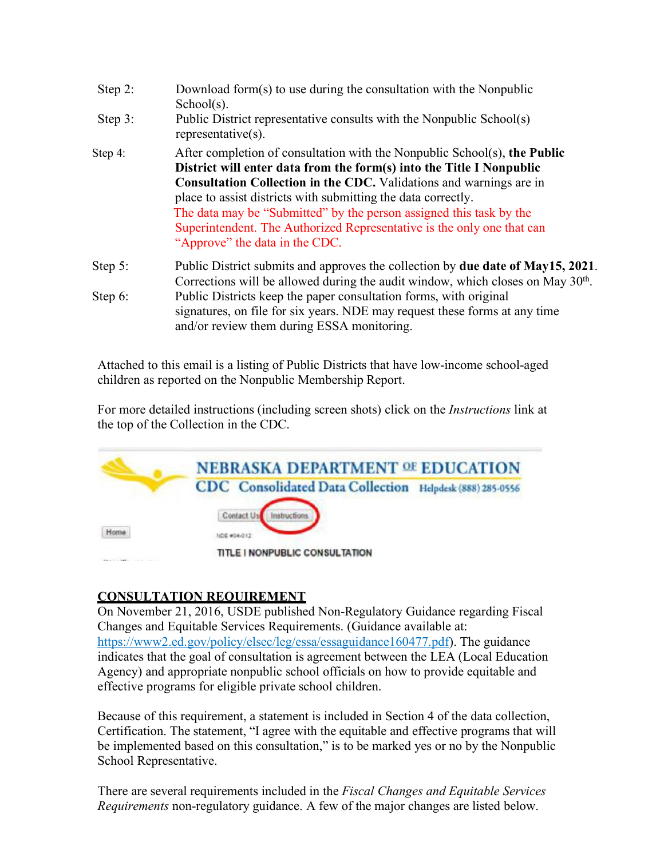| Step 2:    | Download form(s) to use during the consultation with the Nonpublic<br>$School(s)$ .                                                                                                                                                                                                                                                                                                                                                                                          |  |  |  |  |  |  |
|------------|------------------------------------------------------------------------------------------------------------------------------------------------------------------------------------------------------------------------------------------------------------------------------------------------------------------------------------------------------------------------------------------------------------------------------------------------------------------------------|--|--|--|--|--|--|
| Step $3$ : | Public District representative consults with the Nonpublic School(s)<br>representative $(s)$ .                                                                                                                                                                                                                                                                                                                                                                               |  |  |  |  |  |  |
| Step 4:    | After completion of consultation with the Nonpublic School(s), the Public<br>District will enter data from the form(s) into the Title I Nonpublic<br>Consultation Collection in the CDC. Validations and warnings are in<br>place to assist districts with submitting the data correctly.<br>The data may be "Submitted" by the person assigned this task by the<br>Superintendent. The Authorized Representative is the only one that can<br>"Approve" the data in the CDC. |  |  |  |  |  |  |
| Step 5:    | Public District submits and approves the collection by due date of May15, 2021.<br>Corrections will be allowed during the audit window, which closes on May 30 <sup>th</sup> .                                                                                                                                                                                                                                                                                               |  |  |  |  |  |  |
| Step 6:    | Public Districts keep the paper consultation forms, with original<br>signatures, on file for six years. NDE may request these forms at any time<br>and/or review them during ESSA monitoring.                                                                                                                                                                                                                                                                                |  |  |  |  |  |  |

Attached to this email is a listing of Public Districts that have low-income school-aged children as reported on the Nonpublic Membership Report.

For more detailed instructions (including screen shots) click on the *Instructions* link at the top of the Collection in the CDC.



# **CONSULTATION REQUIREMENT**

On November 21, 2016, USDE published Non-Regulatory Guidance regarding Fiscal Changes and Equitable Services Requirements. (Guidance available at: https://www2.ed.gov/policy/elsec/leg/essa/essaguidance160477.pdf). The guidance indicates that the goal of consultation is agreement between the LEA (Local Education Agency) and appropriate nonpublic school officials on how to provide equitable and effective programs for eligible private school children.

Because of this requirement, a statement is included in Section 4 of the data collection, Certification. The statement, "I agree with the equitable and effective programs that will be implemented based on this consultation," is to be marked yes or no by the Nonpublic School Representative.

There are several requirements included in the *Fiscal Changes and Equitable Services Requirements* non-regulatory guidance. A few of the major changes are listed below.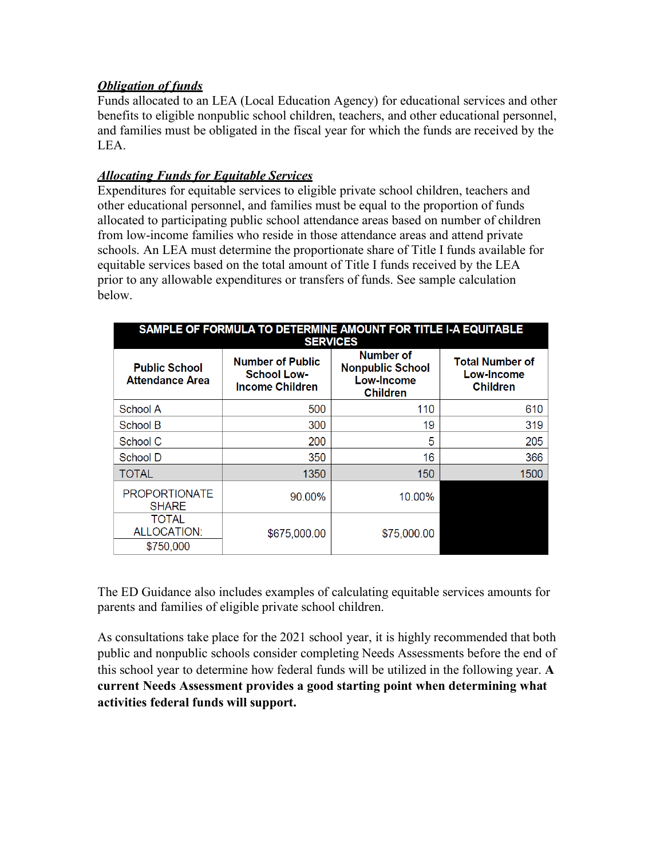## *Obligation of funds*

Funds allocated to an LEA (Local Education Agency) for educational services and other benefits to eligible nonpublic school children, teachers, and other educational personnel, and families must be obligated in the fiscal year for which the funds are received by the LEA.

## *Allocating Funds for Equitable Services*

Expenditures for equitable services to eligible private school children, teachers and other educational personnel, and families must be equal to the proportion of funds allocated to participating public school attendance areas based on number of children from low-income families who reside in those attendance areas and attend private schools. An LEA must determine the proportionate share of Title I funds available for equitable services based on the total amount of Title I funds received by the LEA prior to any allowable expenditures or transfers of funds. See sample calculation below.

| SAMPLE OF FORMULA TO DETERMINE AMOUNT FOR TITLE I-A EQUITABLE<br><b>SERVICES</b> |                                                                         |                                                                              |                                                         |  |  |  |  |  |
|----------------------------------------------------------------------------------|-------------------------------------------------------------------------|------------------------------------------------------------------------------|---------------------------------------------------------|--|--|--|--|--|
| <b>Public School</b><br><b>Attendance Area</b>                                   | <b>Number of Public</b><br><b>School Low-</b><br><b>Income Children</b> | Number of<br><b>Nonpublic School</b><br><b>Low-Income</b><br><b>Children</b> | <b>Total Number of</b><br>Low-Income<br><b>Children</b> |  |  |  |  |  |
| School A                                                                         | 500                                                                     | 110                                                                          | 610                                                     |  |  |  |  |  |
| School B                                                                         | 300                                                                     | 19                                                                           | 319                                                     |  |  |  |  |  |
| School C                                                                         | 200                                                                     | 5                                                                            | 205                                                     |  |  |  |  |  |
| School D                                                                         | 350                                                                     | 16                                                                           | 366                                                     |  |  |  |  |  |
| <b>TOTAL</b>                                                                     | 1350                                                                    | 150                                                                          | 1500                                                    |  |  |  |  |  |
| <b>PROPORTIONATE</b><br><b>SHARE</b>                                             | 90.00%                                                                  | 10.00%                                                                       |                                                         |  |  |  |  |  |
| <b>TOTAL</b><br>ALLOCATION:<br>\$750,000                                         | \$675,000.00                                                            | \$75,000.00                                                                  |                                                         |  |  |  |  |  |

The ED Guidance also includes examples of calculating equitable services amounts for parents and families of eligible private school children.

As consultations take place for the 2021 school year, it is highly recommended that both public and nonpublic schools consider completing Needs Assessments before the end of this school year to determine how federal funds will be utilized in the following year. **A current Needs Assessment provides a good starting point when determining what activities federal funds will support.**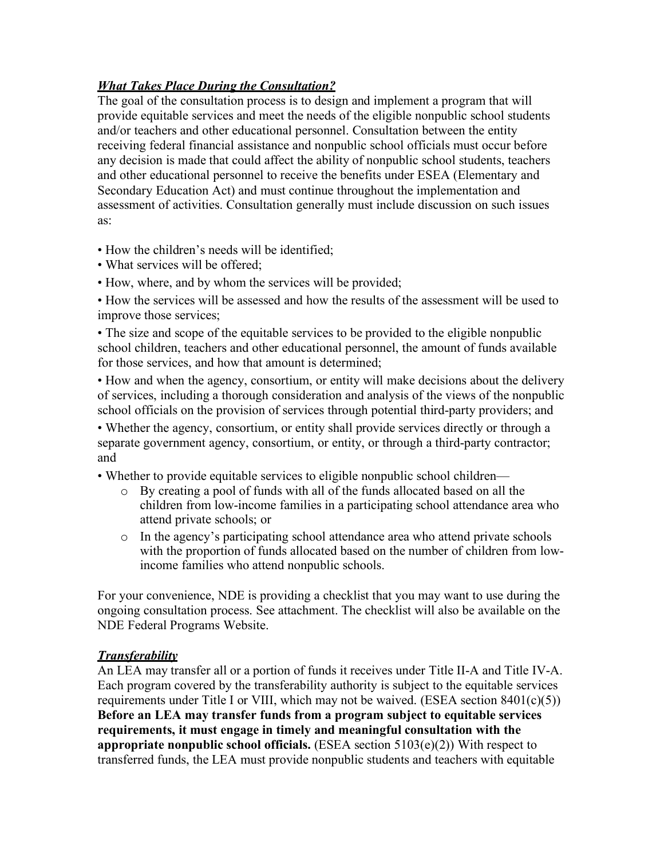# *What Takes Place During the Consultation?*

The goal of the consultation process is to design and implement a program that will provide equitable services and meet the needs of the eligible nonpublic school students and/or teachers and other educational personnel. Consultation between the entity receiving federal financial assistance and nonpublic school officials must occur before any decision is made that could affect the ability of nonpublic school students, teachers and other educational personnel to receive the benefits under ESEA (Elementary and Secondary Education Act) and must continue throughout the implementation and assessment of activities. Consultation generally must include discussion on such issues as:

• How the children's needs will be identified;

- What services will be offered;
- How, where, and by whom the services will be provided;

• How the services will be assessed and how the results of the assessment will be used to improve those services;

• The size and scope of the equitable services to be provided to the eligible nonpublic school children, teachers and other educational personnel, the amount of funds available for those services, and how that amount is determined;

• How and when the agency, consortium, or entity will make decisions about the delivery of services, including a thorough consideration and analysis of the views of the nonpublic school officials on the provision of services through potential third-party providers; and

• Whether the agency, consortium, or entity shall provide services directly or through a separate government agency, consortium, or entity, or through a third-party contractor; and

• Whether to provide equitable services to eligible nonpublic school children—

- o By creating a pool of funds with all of the funds allocated based on all the children from low-income families in a participating school attendance area who attend private schools; or
- o In the agency's participating school attendance area who attend private schools with the proportion of funds allocated based on the number of children from lowincome families who attend nonpublic schools.

For your convenience, NDE is providing a checklist that you may want to use during the ongoing consultation process. See attachment. The checklist will also be available on the NDE Federal Programs Website.

### *Transferability*

An LEA may transfer all or a portion of funds it receives under Title II-A and Title IV-A. Each program covered by the transferability authority is subject to the equitable services requirements under Title I or VIII, which may not be waived. (ESEA section  $8401(c)(5)$ ) **Before an LEA may transfer funds from a program subject to equitable services requirements, it must engage in timely and meaningful consultation with the appropriate nonpublic school officials.** (ESEA section 5103(e)(2)) With respect to transferred funds, the LEA must provide nonpublic students and teachers with equitable